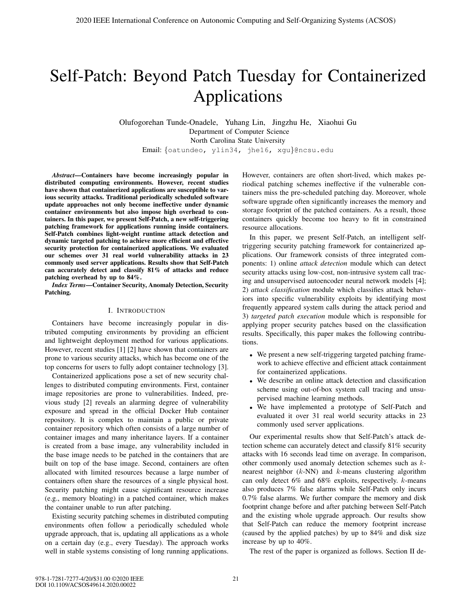# Self-Patch: Beyond Patch Tuesday for Containerized Applications

Olufogorehan Tunde-Onadele, Yuhang Lin, Jingzhu He, Xiaohui Gu Department of Computer Science North Carolina State University Email: {oatundeo, ylin34, jhe16, xgu}@ncsu.edu

*Abstract*—Containers have become increasingly popular in distributed computing environments. However, recent studies have shown that containerized applications are susceptible to various security attacks. Traditional periodically scheduled software update approaches not only become ineffective under dynamic container environments but also impose high overhead to containers. In this paper, we present Self-Patch, a new self-triggering patching framework for applications running inside containers. Self-Patch combines light-weight runtime attack detection and dynamic targeted patching to achieve more efficient and effective security protection for containerized applications. We evaluated our schemes over 31 real world vulnerability attacks in 23 commonly used server applications. Results show that Self-Patch can accurately detect and classify 81% of attacks and reduce patching overhead by up to 84%.

*Index Terms*—Container Security, Anomaly Detection, Security Patching.

# I. INTRODUCTION

Containers have become increasingly popular in distributed computing environments by providing an efficient and lightweight deployment method for various applications. However, recent studies [1] [2] have shown that containers are prone to various security attacks, which has become one of the top concerns for users to fully adopt container technology [3].

Containerized applications pose a set of new security challenges to distributed computing environments. First, container image repositories are prone to vulnerabilities. Indeed, previous study [2] reveals an alarming degree of vulnerability exposure and spread in the official Docker Hub container repository. It is complex to maintain a public or private container repository which often consists of a large number of container images and many inheritance layers. If a container is created from a base image, any vulnerability included in the base image needs to be patched in the containers that are built on top of the base image. Second, containers are often allocated with limited resources because a large number of containers often share the resources of a single physical host. Security patching might cause significant resource increase (e.g., memory bloating) in a patched container, which makes the container unable to run after patching.

Existing security patching schemes in distributed computing environments often follow a periodically scheduled whole upgrade approach, that is, updating all applications as a whole on a certain day (e.g., every Tuesday). The approach works well in stable systems consisting of long running applications. However, containers are often short-lived, which makes periodical patching schemes ineffective if the vulnerable containers miss the pre-scheduled patching day. Moreover, whole software upgrade often significantly increases the memory and storage footprint of the patched containers. As a result, those containers quickly become too heavy to fit in constrained resource allocations.

In this paper, we present Self-Patch, an intelligent selftriggering security patching framework for containerized applications. Our framework consists of three integrated components: 1) online *attack detection* module which can detect security attacks using low-cost, non-intrusive system call tracing and unsupervised autoencoder neural network models [4]; 2) *attack classification* module which classifies attack behaviors into specific vulnerability exploits by identifying most frequently appeared system calls during the attack period and 3) *targeted patch execution* module which is responsible for applying proper security patches based on the classification results. Specifically, this paper makes the following contributions.

- We present a new self-triggering targeted patching framework to achieve effective and efficient attack containment for containerized applications.
- We describe an online attack detection and classification scheme using out-of-box system call tracing and unsupervised machine learning methods.
- We have implemented a prototype of Self-Patch and evaluated it over 31 real world security attacks in 23 commonly used server applications.

Our experimental results show that Self-Patch's attack detection scheme can accurately detect and classify 81% security attacks with 16 seconds lead time on average. In comparison, other commonly used anomaly detection schemes such as knearest neighbor  $(k-NN)$  and k-means clustering algorithm can only detect 6% and 68% exploits, respectively. k-means also produces 7% false alarms while Self-Patch only incurs 0.7% false alarms. We further compare the memory and disk footprint change before and after patching between Self-Patch and the existing whole upgrade approach. Our results show that Self-Patch can reduce the memory footprint increase (caused by the applied patches) by up to 84% and disk size increase by up to 40%.

The rest of the paper is organized as follows. Section II de-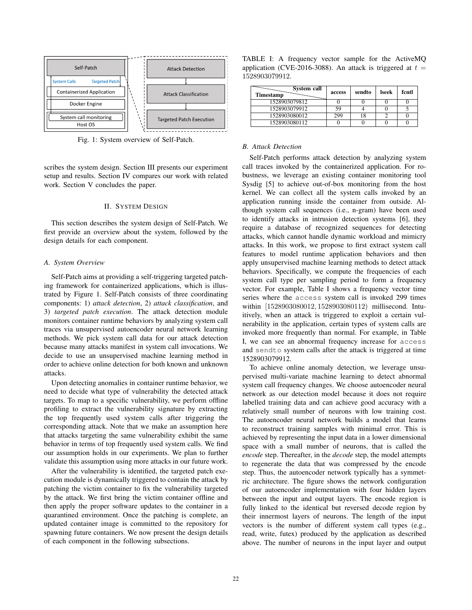

Fig. 1: System overview of Self-Patch.

scribes the system design. Section III presents our experiment setup and results. Section IV compares our work with related work. Section V concludes the paper.

#### II. SYSTEM DESIGN

This section describes the system design of Self-Patch. We first provide an overview about the system, followed by the design details for each component.

#### *A. System Overview*

Self-Patch aims at providing a self-triggering targeted patching framework for containerized applications, which is illustrated by Figure 1. Self-Patch consists of three coordinating components: 1) *attack detection*, 2) *attack classification*, and 3) *targeted patch execution*. The attack detection module monitors container runtime behaviors by analyzing system call traces via unsupervised autoencoder neural network learning methods. We pick system call data for our attack detection because many attacks manifest in system call invocations. We decide to use an unsupervised machine learning method in order to achieve online detection for both known and unknown attacks.

Upon detecting anomalies in container runtime behavior, we need to decide what type of vulnerability the detected attack targets. To map to a specific vulnerability, we perform offline profiling to extract the vulnerability signature by extracting the top frequently used system calls after triggering the corresponding attack. Note that we make an assumption here that attacks targeting the same vulnerability exhibit the same behavior in terms of top frequently used system calls. We find our assumption holds in our experiments. We plan to further validate this assumption using more attacks in our future work.

After the vulnerability is identified, the targeted patch execution module is dynamically triggered to contain the attack by patching the victim container to fix the vulnerability targeted by the attack. We first bring the victim container offline and then apply the proper software updates to the container in a quarantined environment. Once the patching is complete, an updated container image is committed to the repository for spawning future containers. We now present the design details of each component in the following subsections.

TABLE I: A frequency vector sample for the ActiveMQ application (CVE-2016-3088). An attack is triggered at  $t =$ 1528903079912.

| System call<br><b>Timestamp</b> | access | sendto | lseek | fcntl |
|---------------------------------|--------|--------|-------|-------|
| 1528903079812                   |        |        |       |       |
| 1528903079912                   | 59     |        |       |       |
| 1528903080012                   | 299    | 18     |       |       |
| 1528903080112                   |        |        |       |       |

#### *B. Attack Detection*

Self-Patch performs attack detection by analyzing system call traces invoked by the containerized application. For robustness, we leverage an existing container monitoring tool Sysdig [5] to achieve out-of-box monitoring from the host kernel. We can collect all the system calls invoked by an application running inside the container from outside. Although system call sequences (i.e., n-gram) have been used to identify attacks in intrusion detection systems [6], they require a database of recognized sequences for detecting attacks, which cannot handle dynamic workload and mimicry attacks. In this work, we propose to first extract system call features to model runtime application behaviors and then apply unsupervised machine learning methods to detect attack behaviors. Specifically, we compute the frequencies of each system call type per sampling period to form a frequency vector. For example, Table I shows a frequency vector time series where the access system call is invoked 299 times within [1528903080012, 1528903080112) millisecond. Intuitively, when an attack is triggered to exploit a certain vulnerability in the application, certain types of system calls are invoked more frequently than normal. For example, in Table I, we can see an abnormal frequency increase for access and sendto system calls after the attack is triggered at time 1528903079912.

To achieve online anomaly detection, we leverage unsupervised multi-variate machine learning to detect abnormal system call frequency changes. We choose autoencoder neural network as our detection model because it does not require labelled training data and can achieve good accuracy with a relatively small number of neurons with low training cost. The autoencoder neural network builds a model that learns to reconstruct training samples with minimal error. This is achieved by representing the input data in a lower dimensional space with a small number of neurons, that is called the *encode* step. Thereafter, in the *decode* step, the model attempts to regenerate the data that was compressed by the encode step. Thus, the autoencoder network typically has a symmetric architecture. The figure shows the network configuration of our autoencoder implementation with four hidden layers between the input and output layers. The encode region is fully linked to the identical but reversed decode region by their innermost layers of neurons. The length of the input vectors is the number of different system call types (e.g., read, write, futex) produced by the application as described above. The number of neurons in the input layer and output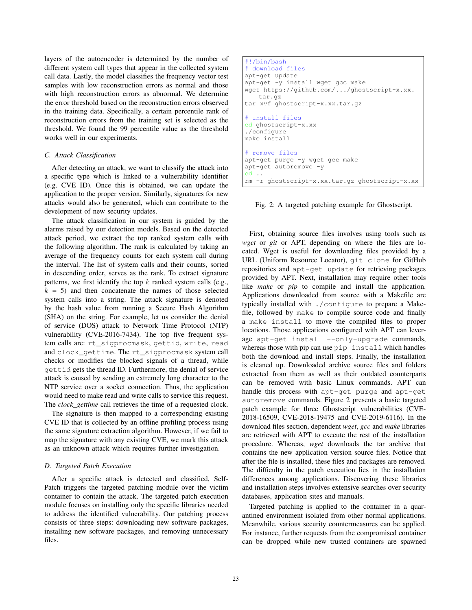layers of the autoencoder is determined by the number of different system call types that appear in the collected system call data. Lastly, the model classifies the frequency vector test samples with low reconstruction errors as normal and those with high reconstruction errors as abnormal. We determine the error threshold based on the reconstruction errors observed in the training data. Specifically, a certain percentile rank of reconstruction errors from the training set is selected as the threshold. We found the 99 percentile value as the threshold works well in our experiments.

#### *C. Attack Classification*

After detecting an attack, we want to classify the attack into a specific type which is linked to a vulnerability identifier (e.g. CVE ID). Once this is obtained, we can update the application to the proper version. Similarly, signatures for new attacks would also be generated, which can contribute to the development of new security updates.

The attack classification in our system is guided by the alarms raised by our detection models. Based on the detected attack period, we extract the top ranked system calls with the following algorithm. The rank is calculated by taking an average of the frequency counts for each system call during the interval. The list of system calls and their counts, sorted in descending order, serves as the rank. To extract signature patterns, we first identify the top  $k$  ranked system calls (e.g.,  $k = 5$ ) and then concatenate the names of those selected system calls into a string. The attack signature is denoted by the hash value from running a Secure Hash Algorithm (SHA) on the string. For example, let us consider the denial of service (DOS) attack to Network Time Protocol (NTP) vulnerability (CVE-2016-7434). The top five frequent system calls are: rt\_sigprocmask, gettid, write, read and clock\_gettime. The rt\_sigprocmask system call checks or modifies the blocked signals of a thread, while gettid gets the thread ID. Furthermore, the denial of service attack is caused by sending an extremely long character to the NTP service over a socket connection. Thus, the application would need to make read and write calls to service this request. The *clock gettime* call retrieves the time of a requested clock.

The signature is then mapped to a corresponding existing CVE ID that is collected by an offline profiling process using the same signature extraction algorithm. However, if we fail to map the signature with any existing CVE, we mark this attack as an unknown attack which requires further investigation.

# *D. Targeted Patch Execution*

After a specific attack is detected and classified, Self-Patch triggers the targeted patching module over the victim container to contain the attack. The targeted patch execution module focuses on installing only the specific libraries needed to address the identified vulnerability. Our patching process consists of three steps: downloading new software packages, installing new software packages, and removing unnecessary files.

```
#!/bin/bash
# download files
apt-get update
apt-get -y install wget gcc make
wget https://github.com/.../ghostscript-x.xx.
   tar.gz
tar xvf ghostscript-x.xx.tar.gz
# install files
cd ghostscript-x.xx
./configure
make install
# remove files
apt-get purge -y wget gcc make
apt-get autoremove -y
cd ..
rm -r ghostscript-x.xx.tar.gz ghostscript-x.xx
```
Fig. 2: A targeted patching example for Ghostscript.

First, obtaining source files involves using tools such as *wget* or *git* or APT, depending on where the files are located. Wget is useful for downloading files provided by a URL (Uniform Resource Locator), git clone for GitHub repositories and apt-get update for retrieving packages provided by APT. Next, installation may require other tools like *make* or *pip* to compile and install the application. Applications downloaded from source with a Makefile are typically installed with ./configure to prepare a Makefile, followed by make to compile source code and finally a make install to move the compiled files to proper locations. Those applications configured with APT can leverage apt-get install --only-upgrade commands, whereas those with pip can use pip install which handles both the download and install steps. Finally, the installation is cleaned up. Downloaded archive source files and folders extracted from them as well as their outdated counterparts can be removed with basic Linux commands. APT can handle this process with apt-get purge and apt-get autoremove commands. Figure 2 presents a basic targeted patch example for three Ghostscript vulnerabilities (CVE-2018-16509, CVE-2018-19475 and CVE-2019-6116). In the download files section, dependent *wget*, *gcc* and *make* libraries are retrieved with APT to execute the rest of the installation procedure. Whereas, *wget* downloads the tar archive that contains the new application version source files. Notice that after the file is installed, these files and packages are removed. The difficulty in the patch execution lies in the installation differences among applications. Discovering these libraries and installation steps involves extensive searches over security databases, application sites and manuals.

Targeted patching is applied to the container in a quarantined environment isolated from other normal applications. Meanwhile, various security countermeasures can be applied. For instance, further requests from the compromised container can be dropped while new trusted containers are spawned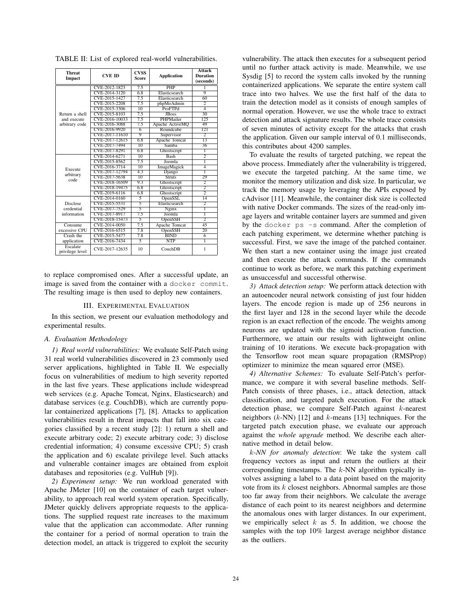|  |  |  | TABLE II: List of explored real-world vulnerabilities. |
|--|--|--|--------------------------------------------------------|
|  |  |  |                                                        |

| <b>Threat</b><br><b>Impact</b> | <b>CVE ID</b>  | <b>CVSS</b><br><b>Score</b> | <b>Application</b>   | <b>Attack</b><br><b>Duration</b><br>(seconds) |
|--------------------------------|----------------|-----------------------------|----------------------|-----------------------------------------------|
|                                | CVE-2012-1823  | 7.5                         | PHP                  | 1                                             |
|                                | CVE-2014-3120  | 6.8                         | Elasticsearch        | $\overline{q}$                                |
|                                | CVE-2015-1427  | 7.5                         | Elasticsearch        | 60                                            |
|                                | CVE-2015-2208  | 7.5                         | phpMoAdmin           | $\overline{2}$                                |
|                                | CVE-2015-3306  | $\overline{10}$             | ProFTPd              | $\overline{4}$                                |
| Return a shell                 | CVE-2015-8103  | 7.5                         | <b>IBoss</b>         | 30                                            |
| and execute                    | CVE-2016-10033 | 7.5                         | PHPMailer            | 125                                           |
| arbitrary code                 | CVE-2016-3088  | 7.5                         | Apache ActiveMO      | 49                                            |
|                                | CVE-2016-9920  | $\overline{6}$              | Roundcube            | $\overline{121}$                              |
|                                | CVE-2017-11610 | 9                           | Supervisor           | $\overline{2}$                                |
|                                | CVE-2017-12615 | 6.8                         | Apache Tomcat        | 13                                            |
|                                | CVE-2017-7494  | $\overline{10}$             | Samba                | $\overline{36}$                               |
|                                | CVE-2017-8291  | 6.8                         | Ghostscript          | 1                                             |
|                                | CVE-2014-6271  | 10                          | <b>Bash</b>          | $\overline{2}$                                |
|                                | CVE-2015-8562  | 7.5                         | Joomla               | ī                                             |
| Execute                        | CVE-2016-3714  | 10                          | <b>ImageMagick</b>   | 4                                             |
| arbitrary                      | CVE-2017-12794 | 4.3                         | Django               | ī                                             |
| code                           | CVE-2017-5638  | $\overline{10}$             | <b>Struts</b>        | 29                                            |
|                                | CVE-2018-16509 | 9.3                         | Ghostscript          | $\overline{2}$                                |
|                                | CVE-2018-19475 | 6.8                         | Ghostscript          | $\overline{2}$                                |
|                                | CVE-2019-6116  | 6.8                         | Ghostscript          | $\overline{2}$                                |
|                                | CVE-2014-0160  | 5                           | OpenSSL              | 14                                            |
| <b>Disclose</b>                | CVE-2015-5531  | 5                           | Elasticsearch        | 2                                             |
| credential                     | CVE-2017-7529  | $\overline{5}$              | Nginx                | ī                                             |
| information                    | CVE-2017-8917  | 7.5                         | Joomla               | ī                                             |
|                                | CVE-2018-15473 | $\overline{5}$              | <b>OpenSSH</b>       | $\overline{2}$                                |
| Consume                        | CVE-2014-0050  | 7.5                         | <b>Apache Tomcat</b> | 45                                            |
| excessive CPU                  | CVE-2016-6515  | 7.8                         | OpenSSH              | 20                                            |
| Crash the                      | CVE-2015-5477  | 7.8                         | <b>BIND</b>          | 6                                             |
| application                    | CVE-2016-7434  | 5                           | <b>NTP</b>           | 1                                             |
| Escalate<br>privilege level    | CVE-2017-12635 | 10                          | CouchDB              | 1                                             |

to replace compromised ones. After a successful update, an image is saved from the container with a docker commit. The resulting image is then used to deploy new containers.

#### III. EXPERIMENTAL EVALUATION

In this section, we present our evaluation methodology and experimental results.

## *A. Evaluation Methodology*

*1) Real world vulnerabilities:* We evaluate Self-Patch using 31 real world vulnerabilities discovered in 23 commonly used server applications, highlighted in Table II. We especially focus on vulnerabilities of medium to high severity reported in the last five years. These applications include widespread web services (e.g. Apache Tomcat, Nginx, Elasticsearch) and database services (e.g. CouchDB), which are currently popular containerized applications [7], [8]. Attacks to application vulnerabilities result in threat impacts that fall into six categories classified by a recent study [2]: 1) return a shell and execute arbitrary code; 2) execute arbitrary code; 3) disclose credential information; 4) consume excessive CPU; 5) crash the application and 6) escalate privilege level. Such attacks and vulnerable container images are obtained from exploit databases and repositories (e.g. VulHub [9]).

*2) Experiment setup:* We run workload generated with Apache JMeter [10] on the container of each target vulnerability, to approach real world system operation. Specifically, JMeter quickly delivers appropriate requests to the applications. The supplied request rate increases to the maximum value that the application can accommodate. After running the container for a period of normal operation to train the detection model, an attack is triggered to exploit the security vulnerability. The attack then executes for a subsequent period until no further attack activity is made. Meanwhile, we use Sysdig [5] to record the system calls invoked by the running containerized applications. We separate the entire system call trace into two halves. We use the first half of the data to train the detection model as it consists of enough samples of normal operation. However, we use the whole trace to extract detection and attack signature results. The whole trace consists of seven minutes of activity except for the attacks that crash the application. Given our sample interval of 0.1 milliseconds, this contributes about 4200 samples.

To evaluate the results of targeted patching, we repeat the above process. Immediately after the vulnerability is triggered, we execute the targeted patching. At the same time, we monitor the memory utilization and disk size. In particular, we track the memory usage by leveraging the APIs exposed by cAdvisor [11]. Meanwhile, the container disk size is collected with native Docker commands. The sizes of the read-only image layers and writable container layers are summed and given by the docker ps -s command. After the completion of each patching experiment, we determine whether patching is successful. First, we save the image of the patched container. We then start a new container using the image just created and then execute the attack commands. If the commands continue to work as before, we mark this patching experiment as unsuccessful and successful otherwise.

*3) Attack detection setup:* We perform attack detection with an autoencoder neural network consisting of just four hidden layers. The encode region is made up of 256 neurons in the first layer and 128 in the second layer while the decode region is an exact reflection of the encode. The weights among neurons are updated with the sigmoid activation function. Furthermore, we attain our results with lightweight online training of 10 iterations. We execute back-propagation with the Tensorflow root mean square propagation (RMSProp) optimizer to minimize the mean squared error (MSE).

*4) Alternative Schemes:* To evaluate Self-Patch's performance, we compare it with several baseline methods. Self-Patch consists of three phases, i.e., attack detection, attack classification, and targeted patch execution. For the attack detection phase, we compare Self-Patch against k-nearest neighbors  $(k-NN)$  [12] and  $k$ -means [13] techniques. For the targeted patch execution phase, we evaluate our approach against the *whole upgrade* method. We describe each alternative method in detail below.

k*-NN for anomaly detection*: We take the system call frequency vectors as input and return the outliers at their corresponding timestamps. The  $k$ -NN algorithm typically involves assigning a label to a data point based on the majority vote from its  $k$  closest neighbors. Abnormal samples are those too far away from their neighbors. We calculate the average distance of each point to its nearest neighbors and determine the anomalous ones with larger distances. In our experiment, we empirically select  $k$  as 5. In addition, we choose the samples with the top 10% largest average neighbor distance as the outliers.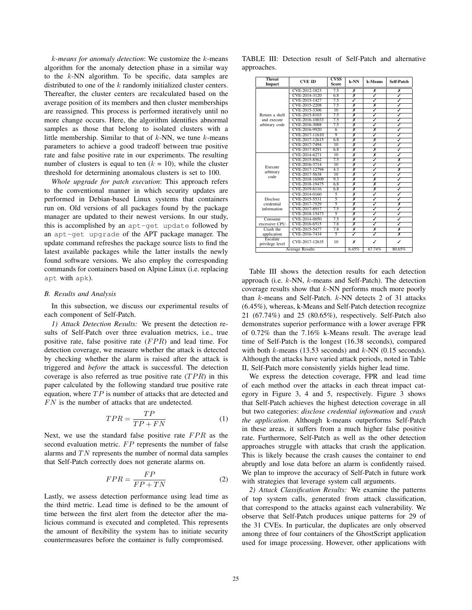k*-means for anomaly detection*: We customize the k-means algorithm for the anomaly detection phase in a similar way to the  $k$ -NN algorithm. To be specific, data samples are distributed to one of the k randomly initialized cluster centers. Thereafter, the cluster centers are recalculated based on the average position of its members and then cluster memberships are reassigned. This process is performed iteratively until no more change occurs. Here, the algorithm identifies abnormal samples as those that belong to isolated clusters with a little membership. Similar to that of  $k$ -NN, we tune  $k$ -means parameters to achieve a good tradeoff between true positive rate and false positive rate in our experiments. The resulting number of clusters is equal to ten  $(k = 10)$ , while the cluster threshold for determining anomalous clusters is set to 100.

*Whole upgrade for patch execution*: This approach refers to the conventional manner in which security updates are performed in Debian-based Linux systems that containers run on. Old versions of all packages found by the package manager are updated to their newest versions. In our study, this is accomplished by an apt-get update followed by an apt-get upgrade of the APT package manager. The update command refreshes the package source lists to find the latest available packages while the latter installs the newly found software versions. We also employ the corresponding commands for containers based on Alpine Linux (i.e. replacing apt with apk).

#### *B. Results and Analysis*

In this subsection, we discuss our experimental results of each component of Self-Patch.

*1) Attack Detection Results:* We present the detection results of Self-Patch over three evaluation metrics, i.e., true positive rate, false positive rate (FPR) and lead time. For detection coverage, we measure whether the attack is detected by checking whether the alarm is raised after the attack is triggered and *before* the attack is successful. The detection coverage is also referred as true positive rate  $(TPR)$  in this paper calculated by the following standard true positive rate equation, where  $TP$  is number of attacks that are detected and  $\overline{FN}$  is the number of attacks that are undetected.

$$
TPR = \frac{TP}{TP + FN} \tag{1}
$$

Next, we use the standard false positive rate FPR as the second evaluation metric.  $FP$  represents the number of false alarms and  $TN$  represents the number of normal data samples that Self-Patch correctly does not generate alarms on.

$$
FPR = \frac{FP}{FP + TN} \tag{2}
$$

Lastly, we assess detection performance using lead time as the third metric. Lead time is defined to be the amount of time between the first alert from the detector after the malicious command is executed and completed. This represents the amount of flexibility the system has to initiate security countermeasures before the container is fully compromised.

TABLE III: Detection result of Self-Patch and alternative approaches.

| <b>Threat</b>               | <b>CVE ID</b>  | <b>CVSS</b>     | $k-NN$                  | k-Means                 | Self-Patch              |
|-----------------------------|----------------|-----------------|-------------------------|-------------------------|-------------------------|
| Impact                      |                | <b>Score</b>    |                         |                         |                         |
|                             | CVE-2012-1823  | 7.5             | х                       | х                       | х                       |
|                             | CVE-2014-3120  | 6.8             | $\overline{\mathbf{x}}$ | ✓                       | フ                       |
|                             | CVE-2015-1427  | 7.5             | フ                       | ᡔ                       | ⊽                       |
|                             | CVE-2015-2208  | 7.5             | $\overline{\mathsf{x}}$ | $\overline{\mathsf{x}}$ | J                       |
|                             | CVE-2015-3306  | $\overline{10}$ | x                       | ⇁                       | J                       |
| Return a shell              | CVE-2015-8103  | 7.5             | X                       | ⊽                       | ✓                       |
| and execute                 | CVE-2016-10033 | 7.5             | $\overline{\mathbf{x}}$ | フ                       | J                       |
| arbitrary code              | CVE-2016-3088  | 7.5             | $\overline{\textbf{x}}$ | フ                       | J                       |
|                             | CVE-2016-9920  | $\overline{6}$  | $\overline{\mathbf{x}}$ | X                       | J                       |
|                             | CVE-2017-11610 | $\overline{9}$  | <b>x</b>                | フ                       |                         |
|                             | CVE-2017-12615 | 6.8             | <b>x</b>                | X                       |                         |
|                             | CVE-2017-7494  | $\overline{10}$ | ¥                       | フ                       |                         |
|                             | CVE-2017-8291  | 6.8             | <b>x</b>                | <b>x</b>                |                         |
|                             | CVE-2014-6271  | 10              | $\overline{\mathbf{x}}$ | $\overline{\mathsf{x}}$ | J                       |
|                             | CVE-2015-8562  | 7.5             | $\overline{\mathsf{x}}$ | フ                       | $\overline{\mathsf{x}}$ |
| Execute                     | CVE-2016-3714  | 10              | $\overline{\mathbf{x}}$ | ✓                       | ✓                       |
| arbitrary                   | CVE-2017-12794 | 4.3             | $\overline{\mathbf{x}}$ | ✓                       | $\overline{\mathsf{x}}$ |
| code                        | CVE-2017-5638  | $\overline{10}$ | $\overline{\mathbf{x}}$ | フ                       | フ                       |
|                             | CVE-2018-16509 | 9.3             | $\overline{\textsf{x}}$ | $\overline{\mathsf{x}}$ | ✓                       |
|                             | CVE-2018-19475 | 6.8             | $\overline{\textsf{x}}$ | <b>x</b>                | ✓                       |
|                             | CVE-2019-6116  | 6.8             | X                       | $\overline{\mathsf{x}}$ | ✓                       |
| <b>Disclose</b>             | CVE-2014-0160  | $\overline{5}$  | $\overline{\mathbf{x}}$ | ⊽                       | ✓                       |
|                             | CVE-2015-5531  | $\overline{5}$  | $\overline{\mathbf{x}}$ | フ                       | J                       |
| credential                  | CVE-2017-7529  | $\overline{5}$  | ¥                       | フ                       | $\overline{\mathsf{x}}$ |
| information                 | CVE-2017-8917  | 7.5             | <b>x</b>                | フ                       | 7                       |
|                             | CVE-2018-15473 | $\overline{5}$  | <b>x</b>                | ✓                       | ✓                       |
| Consume                     | CVE-2014-0050  | 7.5             | $\overline{\mathbf{x}}$ | ✓                       | ✓                       |
| excessive CPU               | CVE-2016-6515  | 7.8             | $\overline{\mathbf{x}}$ | ✓                       | J                       |
| Crash the                   | CVE-2015-5477  | 7.8             | Х                       | Х                       | х                       |
| application                 | CVE-2016-7434  | $\overline{5}$  | ⇁                       | ᡔ                       | $\overline{\mathbf{x}}$ |
| Escalate<br>privilege level | CVE-2017-12635 | 10              | x                       | ℐ                       |                         |
| <b>Average Results</b>      | 6.45%          | 67.74%          | 80.65%                  |                         |                         |

Table III shows the detection results for each detection approach (i.e. k-NN, k-means and Self-Patch). The detection coverage results show that  $k$ -NN performs much more poorly than  $k$ -means and Self-Patch.  $k$ -NN detects 2 of 31 attacks (6.45%), whereas, k-Means and Self-Patch detection recognize 21 (67.74%) and 25 (80.65%), respectively. Self-Patch also demonstrates superior performance with a lower average FPR of 0.72% than the 7.16% k-Means result. The average lead time of Self-Patch is the longest (16.38 seconds), compared with both  $k$ -means (13.53 seconds) and  $k$ -NN (0.15 seconds). Although the attacks have varied attack periods, noted in Table II, Self-Patch more consistently yields higher lead time.

We express the detection coverage, FPR and lead time of each method over the attacks in each threat impact category in Figure 3, 4 and 5, respectively. Figure 3 shows that Self-Patch achieves the highest detection coverage in all but two categories: *disclose credential information* and *crash the application*. Although k-means outperforms Self-Patch in these areas, it suffers from a much higher false positive rate. Furthermore, Self-Patch as well as the other detection approaches struggle with attacks that crash the application. This is likely because the crash causes the container to end abruptly and lose data before an alarm is confidently raised. We plan to improve the accuracy of Self-Patch in future work with strategies that leverage system call arguments.

*2) Attack Classification Results:* We examine the patterns of top system calls, generated from attack classification, that correspond to the attacks against each vulnerability. We observe that Self-Patch produces unique patterns for 29 of the 31 CVEs. In particular, the duplicates are only observed among three of four containers of the GhostScript application used for image processing. However, other applications with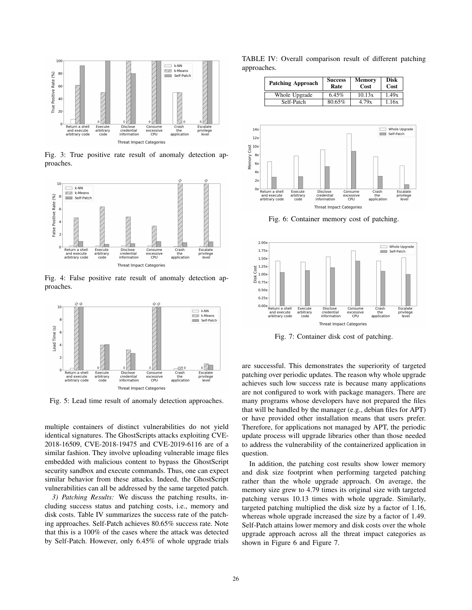

Fig. 3: True positive rate result of anomaly detection approaches.



Fig. 4: False positive rate result of anomaly detection approaches.



Fig. 5: Lead time result of anomaly detection approaches.

multiple containers of distinct vulnerabilities do not yield identical signatures. The GhostScripts attacks exploiting CVE-2018-16509, CVE-2018-19475 and CVE-2019-6116 are of a similar fashion. They involve uploading vulnerable image files embedded with malicious content to bypass the GhostScript security sandbox and execute commands. Thus, one can expect similar behavior from these attacks. Indeed, the GhostScript vulnerabilities can all be addressed by the same targeted patch.

*3) Patching Results:* We discuss the patching results, including success status and patching costs, i.e., memory and disk costs. Table IV summarizes the success rate of the patching approaches. Self-Patch achieves 80.65% success rate. Note that this is a 100% of the cases where the attack was detected by Self-Patch. However, only 6.45% of whole upgrade trials

TABLE IV: Overall comparison result of different patching approaches.

| <b>Patching Approach</b> | <b>Success</b><br>Rate | <b>Memory</b><br>Cost | Disk<br>Cost |
|--------------------------|------------------------|-----------------------|--------------|
| Whole Upgrade            | 6.45%                  | 10.13x                | 1.49x        |
| Self-Patch               | 80.65%                 | 4.79x                 | 1.16x        |



Fig. 6: Container memory cost of patching.



Fig. 7: Container disk cost of patching.

are successful. This demonstrates the superiority of targeted patching over periodic updates. The reason why whole upgrade achieves such low success rate is because many applications are not configured to work with package managers. There are many programs whose developers have not prepared the files that will be handled by the manager (e.g., debian files for APT) or have provided other installation means that users prefer. Therefore, for applications not managed by APT, the periodic update process will upgrade libraries other than those needed to address the vulnerability of the containerized application in question.

In addition, the patching cost results show lower memory and disk size footprint when performing targeted patching rather than the whole upgrade approach. On average, the memory size grew to 4.79 times its original size with targeted patching versus 10.13 times with whole upgrade. Similarly, targeted patching multiplied the disk size by a factor of 1.16, whereas whole upgrade increased the size by a factor of 1.49. Self-Patch attains lower memory and disk costs over the whole upgrade approach across all the threat impact categories as shown in Figure 6 and Figure 7.